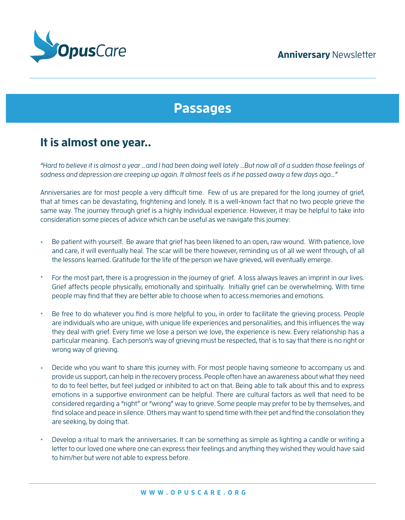

# **Passages**

## **It is almost one year..**

"Hard to believe it is almost a year …and I had been doing well lately …But now all of a sudden those feelings of sadness and depression are creeping up again. It almost feels as if he passed away a few days ago…"

Anniversaries are for most people a very difficult time. Few of us are prepared for the long journey of grief, that at times can be devastating, frightening and lonely. It is a well-known fact that no two people grieve the same way. The journey through grief is a highly individual experience. However, it may be helpful to take into consideration some pieces of advice which can be useful as we navigate this journey:

- Be patient with yourself. Be aware that grief has been likened to an open, raw wound. With patience, love and care, it will eventually heal. The scar will be there however, reminding us of all we went through, of all the lessons learned. Gratitude for the life of the person we have grieved, will eventually emerge. •
- For the most part, there is a progression in the journey of grief. A loss always leaves an imprint in our lives. Grief affects people physically, emotionally and spiritually. Initially grief can be overwhelming. With time people may find that they are better able to choose when to access memories and emotions. •
- Be free to do whatever you find is more helpful to you, in order to facilitate the grieving process. People are individuals who are unique, with unique life experiences and personalities, and this influences the way they deal with grief. Every time we lose a person we love, the experience is new. Every relationship has a particular meaning. Each person's way of grieving must be respected, that is to say that there is no right or wrong way of grieving. •
- Decide who you want to share this journey with. For most people having someone to accompany us and provide us support, can help in the recovery process. People often have an awareness about what they need to do to feel better, but feel judged or inhibited to act on that. Being able to talk about this and to express emotions in a supportive environment can be helpful. There are cultural factors as well that need to be considered regarding a "right" or "wrong" way to grieve. Some people may prefer to be by themselves, and find solace and peace in silence. Others may want to spend time with their pet and find the consolation they are seeking, by doing that. •
- Develop a ritual to mark the anniversaries. It can be something as simple as lighting a candle or writing a letter to our loved one where one can express their feelings and anything they wished they would have said to him/her but were not able to express before. •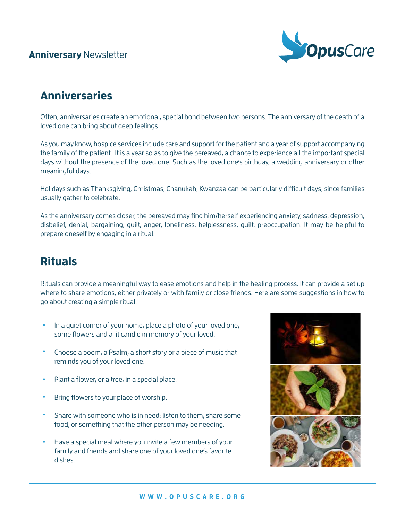### **Anniversary** Newsletter



## **Anniversaries**

Often, anniversaries create an emotional, special bond between two persons. The anniversary of the death of a loved one can bring about deep feelings.

As you may know, hospice services include care and support for the patient and a year of support accompanying the family of the patient. It is a year so as to give the bereaved, a chance to experience all the important special days without the presence of the loved one. Such as the loved one's birthday, a wedding anniversary or other meaningful days.

Holidays such as Thanksgiving, Christmas, Chanukah, Kwanzaa can be particularly difficult days, since families usually gather to celebrate.

As the anniversary comes closer, the bereaved may find him/herself experiencing anxiety, sadness, depression, disbelief, denial, bargaining, guilt, anger, loneliness, helplessness, guilt, preoccupation. It may be helpful to prepare oneself by engaging in a ritual.

# **Rituals**

Rituals can provide a meaningful way to ease emotions and help in the healing process. It can provide a set up where to share emotions, either privately or with family or close friends. Here are some suggestions in how to go about creating a simple ritual.

- In a quiet corner of your home, place a photo of your loved one, some flowers and a lit candle in memory of your loved. •
- Choose a poem, a Psalm, a short story or a piece of music that reminds you of your loved one. •
- Plant a flower, or a tree, in a special place. •
- Bring flowers to your place of worship. •
- Share with someone who is in need: listen to them, share some food, or something that the other person may be needing. •
- Have a special meal where you invite a few members of your family and friends and share one of your loved one's favorite dishes. •

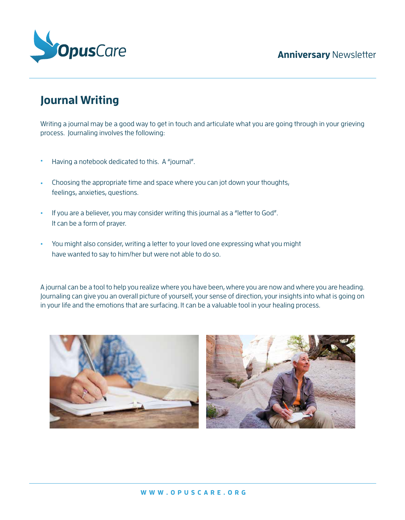### **Anniversary** Newsletter



## **Journal Writing**

Writing a journal may be a good way to get in touch and articulate what you are going through in your grieving process. Journaling involves the following:

- Having a notebook dedicated to this. A "journal". •
- Choosing the appropriate time and space where you can jot down your thoughts, feelings, anxieties, questions. •
- If you are a believer, you may consider writing this journal as a "letter to God". It can be a form of prayer.
- You might also consider, writing a letter to your loved one expressing what you might have wanted to say to him/her but were not able to do so. •

A journal can be a tool to help you realize where you have been, where you are now and where you are heading. Journaling can give you an overall picture of yourself, your sense of direction, your insights into what is going on in your life and the emotions that are surfacing. It can be a valuable tool in your healing process.

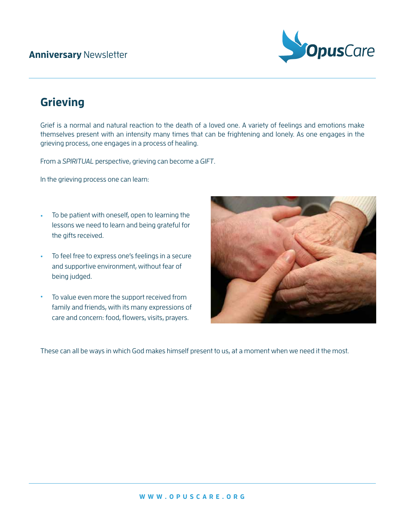### **Anniversary** Newsletter



## **Grieving**

Grief is a normal and natural reaction to the death of a loved one. A variety of feelings and emotions make themselves present with an intensity many times that can be frightening and lonely. As one engages in the grieving process, one engages in a process of healing.

From a SPIRITUAL perspective, grieving can become a GIFT.

In the grieving process one can learn:

- To be patient with oneself, open to learning the lessons we need to learn and being grateful for the gifts received. •
- To feel free to express one's feelings in a secure and supportive environment, without fear of being judged.
- To value even more the support received from family and friends, with its many expressions of care and concern: food, flowers, visits, prayers.



These can all be ways in which God makes himself present to us, at a moment when we need it the most.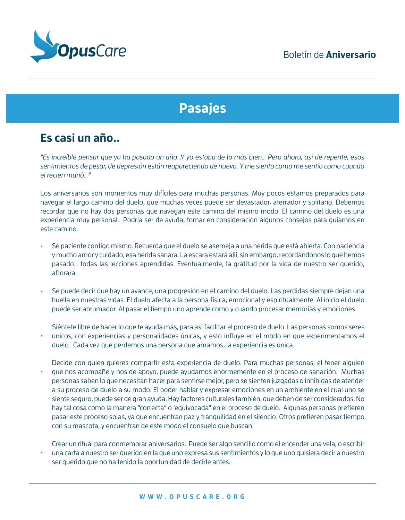

# **Pasajes**

## **Es casi un año..**

"Es increíble pensar que ya ha pasado un año…Y yo estaba de lo más bien… Pero ahora, así de repente, esos sentimientos de pesar, de depresión están reapareciendo de nuevo. Y me siento como me sentía como cuando el recién murió…"

Los aniversarios son momentos muy difíciles para muchas personas. Muy pocos estamos preparados para navegar el largo camino del duelo, que muchas veces puede ser devastador, aterrador y solitario. Debemos recordar que no hay dos personas que navegan este camino del mismo modo. El camino del duelo es una experiencia muy personal. Podría ser de ayuda, tomar en consideración algunos consejos para guiarnos en este camino.

- Sé paciente contigo mismo. Recuerda que el duelo se asemeja a una herida que está abierta. Con paciencia y mucho amor y cuidado, esa herida sanara. La escara estará allí, sin embargo, recordándonos lo que hemos pasado… todas las lecciones aprendidas. Eventualmente, la gratitud por la vida de nuestro ser querido, aflorara. •
- Se puede decir que hay un avance, una progresión en el camino del duelo. Las perdidas siempre dejan una huella en nuestras vidas. El duelo afecta a la persona física, emocional y espiritualmente. Al inicio el duelo puede ser abrumador. Al pasar el tiempo uno aprende como y cuando procesar memorias y emociones. •

Siéntete libre de hacer lo que te ayuda más, para así facilitar el proceso de duelo. Las personas somos seres únicos, con experiencias y personalidades únicas, y esto influye en el modo en que experimentamos el duelo. Cada vez que perdemos una persona que amamos, la experiencia es única. •

- Decide con quien quieres compartir esta experiencia de duelo. Para muchas personas, el tener alguien que nos acompañe y nos de apoyo, puede ayudarnos enormemente en el proceso de sanación. Muchas personas saben lo que necesitan hacer para sentirse mejor, pero se sienten juzgadas o inhibidas de atender a su proceso de duelo a su modo. El poder hablar y expresar emociones en un ambiente en el cual uno se siente seguro, puede ser de gran ayuda. Hay factores culturales también, que deben de ser considerados. No hay tal cosa como la manera "correcta" o 'equivocada" en el proceso de duelo. Algunas personas prefieren pasar este proceso solas, ya que encuentran paz y tranquilidad en el silencio. Otros prefieren pasar tiempo con su mascota, y encuentran de este modo el consuelo que buscan. •
- Crear un ritual para conmemorar aniversarios. Puede ser algo sencillo como el encender una vela, o escribir una carta a nuestro ser querido en la que uno expresa sus sentimientos y lo que uno quisiera decir a nuestro ser querido que no ha tenido la oportunidad de decirle antes. •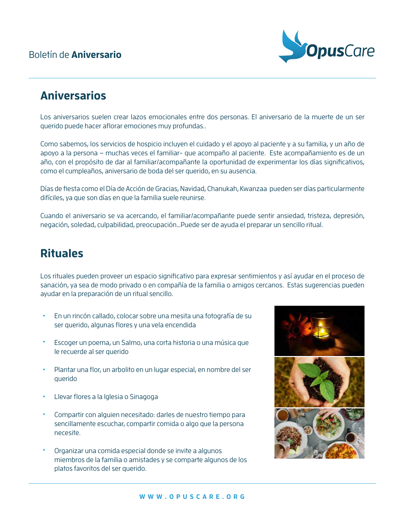### Boletín de **Aniversario**



## **Aniversarios**

Los aniversarios suelen crear lazos emocionales entre dos personas. El aniversario de la muerte de un ser querido puede hacer aflorar emociones muy profundas..

Como sabemos, los servicios de hospicio incluyen el cuidado y el apoyo al paciente y a su familia, y un año de apoyo a la persona – muchas veces el familiar- que acompaño al paciente. Este acompañamiento es de un año, con el propósito de dar al familiar/acompañante la oportunidad de experimentar los días significativos, como el cumpleaños, aniversario de boda del ser querido, en su ausencia.

Días de fiesta como el Día de Acción de Gracias, Navidad, Chanukah, Kwanzaa pueden ser días particularmente difíciles, ya que son días en que la familia suele reunirse.

Cuando el aniversario se va acercando, el familiar/acompañante puede sentir ansiedad, tristeza, depresión, negación, soledad, culpabilidad, preocupación…Puede ser de ayuda el preparar un sencillo ritual.

## **Rituales**

Los rituales pueden proveer un espacio significativo para expresar sentimientos y así ayudar en el proceso de sanación, ya sea de modo privado o en compañía de la familia o amigos cercanos. Estas sugerencias pueden ayudar en la preparación de un ritual sencillo.

- En un rincón callado, colocar sobre una mesita una fotografía de su ser querido, algunas flores y una vela encendida
- Escoger un poema, un Salmo, una corta historia o una música que le recuerde al ser querido •
- Plantar una flor, un arbolito en un lugar especial, en nombre del ser querido
- Llevar flores a la Iglesia o Sinagoga •
- Compartir con alguien necesitado: darles de nuestro tiempo para sencillamente escuchar, compartir comida o algo que la persona necesite. •
- Organizar una comida especial donde se invite a algunos miembros de la familia o amistades y se comparte algunos de los platos favoritos del ser querido. •

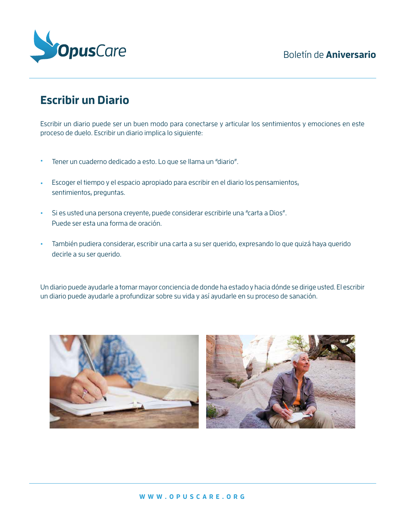

# **Escribir un Diario**

Escribir un diario puede ser un buen modo para conectarse y articular los sentimientos y emociones en este proceso de duelo. Escribir un diario implica lo siguiente:

- Tener un cuaderno dedicado a esto. Lo que se llama un "diario". •
- Escoger el tiempo y el espacio apropiado para escribir en el diario los pensamientos, sentimientos, preguntas. •
- Si es usted una persona creyente, puede considerar escribirle una "carta a Dios". Puede ser esta una forma de oración. •
- También pudiera considerar, escribir una carta a su ser querido, expresando lo que quizá haya querido decirle a su ser querido. •

Un diario puede ayudarle a tomar mayor conciencia de donde ha estado y hacia dónde se dirige usted. El escribir un diario puede ayudarle a profundizar sobre su vida y así ayudarle en su proceso de sanación.